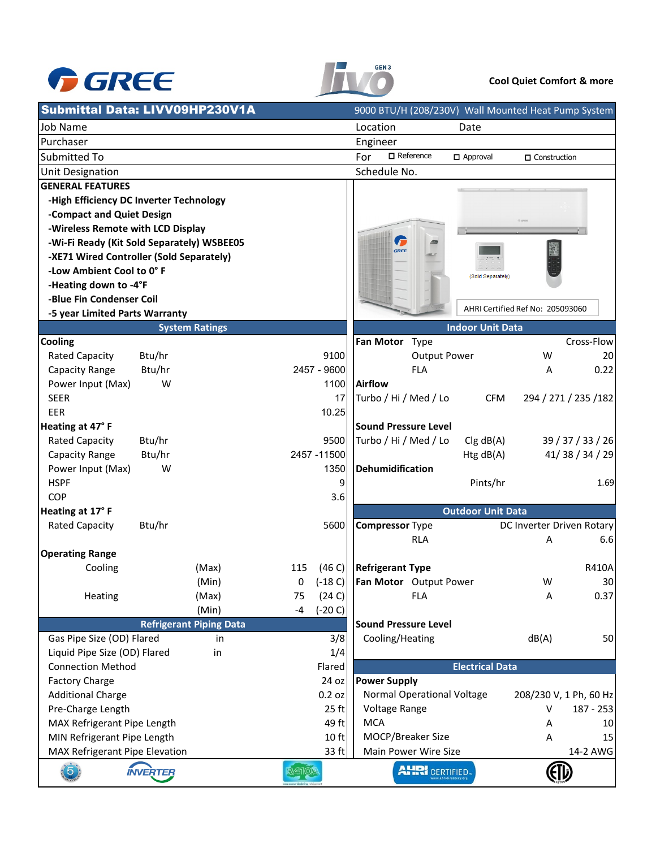



### **Cool Quiet Comfort & more**

|                                               | Submittal Data: LIVV09HP230V1A             |                 |                                            | 9000 BTU/H (208/230V) Wall Mounted Heat Pump System |
|-----------------------------------------------|--------------------------------------------|-----------------|--------------------------------------------|-----------------------------------------------------|
| Job Name                                      |                                            |                 | Location<br>Date                           |                                                     |
| Purchaser                                     |                                            |                 | Engineer                                   |                                                     |
| Submitted To                                  |                                            |                 | $\Box$ Reference<br>For<br>$\Box$ Approval | □ Construction                                      |
| <b>Unit Designation</b>                       |                                            |                 | Schedule No.                               |                                                     |
| <b>GENERAL FEATURES</b>                       |                                            |                 |                                            |                                                     |
|                                               | -High Efficiency DC Inverter Technology    |                 |                                            |                                                     |
| -Compact and Quiet Design                     |                                            |                 |                                            |                                                     |
| -Wireless Remote with LCD Display             |                                            |                 |                                            |                                                     |
|                                               | -Wi-Fi Ready (Kit Sold Separately) WSBEE05 |                 | G<br>GREE                                  |                                                     |
|                                               | -XE71 Wired Controller (Sold Separately)   |                 |                                            |                                                     |
| -Low Ambient Cool to 0° F                     |                                            |                 |                                            | (Sold Separately)                                   |
| -Heating down to -4°F                         |                                            |                 |                                            |                                                     |
| -Blue Fin Condenser Coil                      |                                            |                 |                                            |                                                     |
| -5 year Limited Parts Warranty                |                                            |                 |                                            | AHRI Certified Ref No: 205093060                    |
|                                               | <b>System Ratings</b>                      |                 |                                            | <b>Indoor Unit Data</b>                             |
| Cooling                                       |                                            |                 | Fan Motor Type                             | Cross-Flow                                          |
| <b>Rated Capacity</b>                         | Btu/hr                                     | 9100            | <b>Output Power</b>                        | W<br>20                                             |
| Capacity Range                                | Btu/hr                                     | 2457 - 9600     | <b>FLA</b>                                 | 0.22<br>A                                           |
| Power Input (Max)                             | W                                          | 1100            | Airflow                                    |                                                     |
| <b>SEER</b>                                   |                                            | 17              | Turbo / Hi / Med / Lo                      | <b>CFM</b><br>294 / 271 / 235 / 182                 |
| EER                                           |                                            | 10.25           |                                            |                                                     |
| Heating at 47°F                               |                                            |                 | <b>Sound Pressure Level</b>                |                                                     |
| <b>Rated Capacity</b>                         | Btu/hr                                     | 9500            | Turbo / Hi / Med / Lo                      | 39 / 37 / 33 / 26<br>Clg dB(A)                      |
| Capacity Range                                | Btu/hr                                     | 2457 - 11500    |                                            | 41/38/34/29<br>Htg dB(A)                            |
| Power Input (Max)                             | W                                          | 1350            | Dehumidification                           |                                                     |
| <b>HSPF</b>                                   |                                            | 9               |                                            | Pints/hr<br>1.69                                    |
| <b>COP</b>                                    |                                            | 3.6             |                                            |                                                     |
| Heating at 17°F                               |                                            |                 |                                            | <b>Outdoor Unit Data</b>                            |
| <b>Rated Capacity</b>                         | Btu/hr                                     | 5600            | <b>Compressor Type</b>                     | DC Inverter Driven Rotary                           |
|                                               |                                            |                 | <b>RLA</b>                                 | 6.6<br>A                                            |
| <b>Operating Range</b>                        |                                            |                 |                                            |                                                     |
| Cooling                                       | (Max)                                      | (46 C)<br>115   | <b>Refrigerant Type</b>                    | R410A                                               |
|                                               | (Min)                                      | $(-18 C)$<br>0  | Fan Motor Output Power                     | W<br>30 <sub>l</sub>                                |
| Heating                                       | (Max)                                      | (24 C)<br>75    | <b>FLA</b>                                 | 0.37<br>Α                                           |
|                                               | (Min)                                      | $(-20 C)$<br>-4 |                                            |                                                     |
|                                               | <b>Refrigerant Piping Data</b>             |                 | <b>Sound Pressure Level</b>                |                                                     |
| Gas Pipe Size (OD) Flared                     | in                                         | 3/8             | Cooling/Heating                            | dB(A)<br>50                                         |
| Liquid Pipe Size (OD) Flared                  | in                                         | 1/4             |                                            |                                                     |
| <b>Connection Method</b>                      |                                            | Flared          |                                            | <b>Electrical Data</b>                              |
| <b>Factory Charge</b>                         |                                            | 24 oz           | <b>Power Supply</b>                        |                                                     |
| <b>Additional Charge</b>                      |                                            | 0.2 oz          | Normal Operational Voltage                 | 208/230 V, 1 Ph, 60 Hz                              |
| Pre-Charge Length                             |                                            | 25 ft           | Voltage Range                              | v<br>$187 - 253$                                    |
| MAX Refrigerant Pipe Length<br>49 ft<br>10 ft |                                            |                 | <b>MCA</b>                                 | Α<br>10                                             |
| MIN Refrigerant Pipe Length                   |                                            |                 | MOCP/Breaker Size                          | A<br>15                                             |
| MAX Refrigerant Pipe Elevation                |                                            | 33 ft           | Main Power Wire Size                       | 14-2 AWG                                            |
| $\widehat{5}$                                 | <b>INVERTER</b>                            |                 | <b>AHRI</b> CERTIFIED.                     | ∈ि                                                  |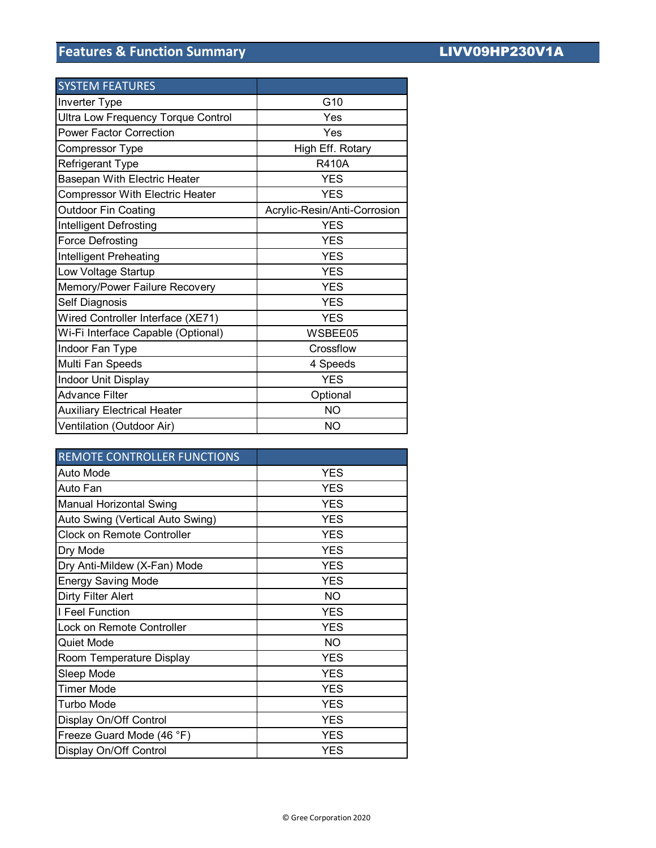# **Features & Function Summary LIVV09HP230V1A**

| <b>SYSTEM FEATURES</b>                    |                              |
|-------------------------------------------|------------------------------|
| <b>Inverter Type</b>                      | G10                          |
| <b>Ultra Low Frequency Torque Control</b> | Yes                          |
| <b>Power Factor Correction</b>            | Yes                          |
| Compressor Type                           | High Eff. Rotary             |
| Refrigerant Type                          | <b>R410A</b>                 |
| Basepan With Electric Heater              | <b>YES</b>                   |
| <b>Compressor With Electric Heater</b>    | <b>YES</b>                   |
| <b>Outdoor Fin Coating</b>                | Acrylic-Resin/Anti-Corrosion |
| <b>Intelligent Defrosting</b>             | <b>YES</b>                   |
| Force Defrosting                          | <b>YES</b>                   |
| Intelligent Preheating                    | <b>YES</b>                   |
| Low Voltage Startup                       | <b>YES</b>                   |
| Memory/Power Failure Recovery             | <b>YES</b>                   |
| Self Diagnosis                            | <b>YES</b>                   |
| Wired Controller Interface (XE71)         | <b>YES</b>                   |
| Wi-Fi Interface Capable (Optional)        | WSBEE05                      |
| Indoor Fan Type                           | Crossflow                    |
| Multi Fan Speeds                          | 4 Speeds                     |
| Indoor Unit Display                       | <b>YES</b>                   |
| <b>Advance Filter</b>                     | Optional                     |
| <b>Auxiliary Electrical Heater</b>        | <b>NO</b>                    |
| Ventilation (Outdoor Air)                 | <b>NO</b>                    |

| <b>REMOTE CONTROLLER FUNCTIONS</b> |            |
|------------------------------------|------------|
| Auto Mode                          | <b>YES</b> |
| Auto Fan                           | <b>YES</b> |
| Manual Horizontal Swing            | <b>YES</b> |
| Auto Swing (Vertical Auto Swing)   | <b>YES</b> |
| <b>Clock on Remote Controller</b>  | <b>YES</b> |
| Dry Mode                           | <b>YES</b> |
| Dry Anti-Mildew (X-Fan) Mode       | <b>YES</b> |
| <b>Energy Saving Mode</b>          | <b>YES</b> |
| Dirty Filter Alert                 | <b>NO</b>  |
| I Feel Function                    | <b>YES</b> |
| Lock on Remote Controller          | <b>YES</b> |
| Quiet Mode                         | NO.        |
| Room Temperature Display           | <b>YES</b> |
| Sleep Mode                         | <b>YES</b> |
| <b>Timer Mode</b>                  | <b>YES</b> |
| <b>Turbo Mode</b>                  | <b>YES</b> |
| Display On/Off Control             | <b>YES</b> |
| Freeze Guard Mode (46 °F)          | <b>YES</b> |
| Display On/Off Control             | <b>YES</b> |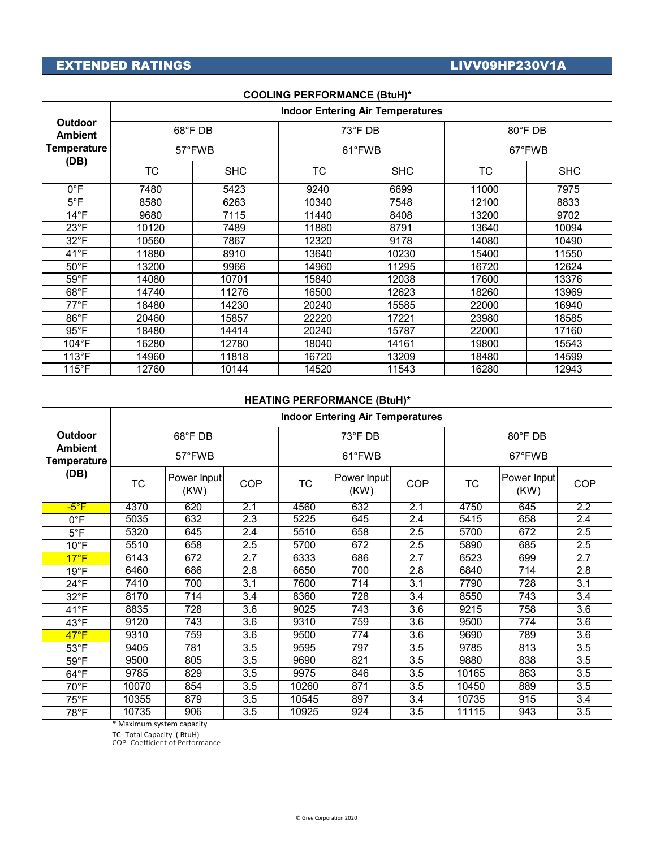# EXTENDED RATINGS **EXTENDED** RATINGS

┰

| <b>COOLING PERFORMANCE (BtuH)*</b>                             |                                         |            |           |            |         |            |  |  |
|----------------------------------------------------------------|-----------------------------------------|------------|-----------|------------|---------|------------|--|--|
|                                                                | <b>Indoor Entering Air Temperatures</b> |            |           |            |         |            |  |  |
| <b>Outdoor</b><br><b>Ambient</b><br><b>Temperature</b><br>(DB) | 68°F DB                                 |            |           | 73°F DB    | 80°F DB |            |  |  |
|                                                                | 57°FWB                                  |            | 61°FWB    |            | 67°FWB  |            |  |  |
|                                                                | <b>TC</b>                               | <b>SHC</b> | <b>TC</b> | <b>SHC</b> | TC      | <b>SHC</b> |  |  |
| $0^{\circ}$ F                                                  | 7480                                    | 5423       | 9240      | 6699       | 11000   | 7975       |  |  |
| $5^{\circ}$ F                                                  | 8580                                    | 6263       | 10340     | 7548       | 12100   | 8833       |  |  |
| $14^{\circ}F$                                                  | 9680                                    | 7115       | 11440     | 8408       | 13200   | 9702       |  |  |
| 23°F                                                           | 10120                                   | 7489       | 11880     | 8791       | 13640   | 10094      |  |  |
| $32^{\circ}$ F                                                 | 10560                                   | 7867       | 12320     | 9178       | 14080   | 10490      |  |  |
| $41^{\circ}F$                                                  | 11880                                   | 8910       | 13640     | 10230      | 15400   | 11550      |  |  |
| $50^{\circ}$ F                                                 | 13200                                   | 9966       | 14960     | 11295      | 16720   | 12624      |  |  |
| $59^{\circ}$ F                                                 | 14080                                   | 10701      | 15840     | 12038      | 17600   | 13376      |  |  |
| $68^{\circ}$ F                                                 | 14740                                   | 11276      | 16500     | 12623      | 18260   | 13969      |  |  |
| 77°F                                                           | 18480                                   | 14230      | 20240     | 15585      | 22000   | 16940      |  |  |
| $86^{\circ}$ F                                                 | 20460                                   | 15857      | 22220     | 17221      | 23980   | 18585      |  |  |
| $95^{\circ}$ F                                                 | 18480                                   | 14414      | 20240     | 15787      | 22000   | 17160      |  |  |
| 104°F                                                          | 16280                                   | 12780      | 18040     | 14161      | 19800   | 15543      |  |  |
| $113^{\circ}F$                                                 | 14960                                   | 11818      | 16720     | 13209      | 18480   | 14599      |  |  |
| $115^{\circ}F$                                                 | 12760                                   | 10144      | 14520     | 11543      | 16280   | 12943      |  |  |
| <b>HEATING DEDEODMANCE (RtuH)*</b>                             |                                         |            |           |            |         |            |  |  |

## **HEATING PERFORMANCE (BtuH)\***

|                                                                | <b>Indoor Entering Air Temperatures</b>   |                     |                  |           |                     |                  |         |                     |                  |
|----------------------------------------------------------------|-------------------------------------------|---------------------|------------------|-----------|---------------------|------------------|---------|---------------------|------------------|
| <b>Outdoor</b><br><b>Ambient</b><br><b>Temperature</b><br>(DB) | 68°F DB                                   |                     |                  | 73°F DB   |                     |                  | 80°F DB |                     |                  |
|                                                                | 57°FWB                                    |                     |                  | 61°FWB    |                     |                  | 67°FWB  |                     |                  |
|                                                                | <b>TC</b>                                 | Power Input<br>(KW) | <b>COP</b>       | <b>TC</b> | Power Input<br>(KW) | <b>COP</b>       | TC      | Power Input<br>(KW) | <b>COP</b>       |
| $-5^{\circ}$ F                                                 | 4370                                      | 620                 | 2.1              | 4560      | 632                 | 2.1              | 4750    | 645                 | $\overline{2.2}$ |
| $0^{\circ}$ F                                                  | 5035                                      | 632                 | 2.3              | 5225      | 645                 | 2.4              | 5415    | 658                 | 2.4              |
| $5^{\circ}$ F                                                  | 5320                                      | 645                 | 2.4              | 5510      | 658                 | 2.5              | 5700    | 672                 | 2.5              |
| $10^{\circ}$ F                                                 | 5510                                      | 658                 | 2.5              | 5700      | 672                 | 2.5              | 5890    | 685                 | 2.5              |
| $17^{\circ}F$                                                  | 6143                                      | 672                 | 2.7              | 6333      | 686                 | 2.7              | 6523    | 699                 | 2.7              |
| $19^{\circ}$ F                                                 | 6460                                      | 686                 | $\overline{2.8}$ | 6650      | 700                 | $\overline{2.8}$ | 6840    | $\overline{714}$    | $\overline{2.8}$ |
| $24^{\circ}F$                                                  | 7410                                      | 700                 | $\overline{3.1}$ | 7600      | 714                 | 3.1              | 7790    | 728                 | $\overline{3.1}$ |
| $32^{\circ}F$                                                  | 8170                                      | 714                 | 3.4              | 8360      | 728                 | 3.4              | 8550    | 743                 | 3.4              |
| $41^{\circ}F$                                                  | 8835                                      | 728                 | 3.6              | 9025      | 743                 | 3.6              | 9215    | 758                 | 3.6              |
| $43^{\circ}$ F                                                 | 9120                                      | 743                 | 3.6              | 9310      | 759                 | 3.6              | 9500    | 774                 | 3.6              |
| $47^{\circ}F$                                                  | 9310                                      | 759                 | 3.6              | 9500      | 774                 | 3.6              | 9690    | 789                 | 3.6              |
| $53^{\circ}$ F                                                 | 9405                                      | 781                 | 3.5              | 9595      | 797                 | 3.5              | 9785    | 813                 | 3.5              |
| $59^{\circ}$ F                                                 | 9500                                      | 805                 | 3.5              | 9690      | 821                 | 3.5              | 9880    | 838                 | 3.5              |
| $64^{\circ}F$                                                  | 9785                                      | 829                 | $\overline{3.5}$ | 9975      | 846                 | 3.5              | 10165   | 863                 | $\overline{3.5}$ |
| 70°F                                                           | 10070                                     | 854                 | 3.5              | 10260     | 871                 | 3.5              | 10450   | 889                 | 3.5              |
| $75^{\circ}$ F                                                 | 10355                                     | 879                 | 3.5              | 10545     | 897                 | 3.4              | 10735   | 915                 | 3.4              |
| 78°F                                                           | 10735                                     | 906                 | 3.5              | 10925     | 924                 | 3.5              | 11115   | 943                 | 3.5              |
|                                                                | $\rightarrow$ $\rightarrow$ $\rightarrow$ |                     |                  |           |                     |                  |         |                     |                  |

\* Maximum system capacity

TC- Total Capacity ( BtuH) COP- Coefficient of Performance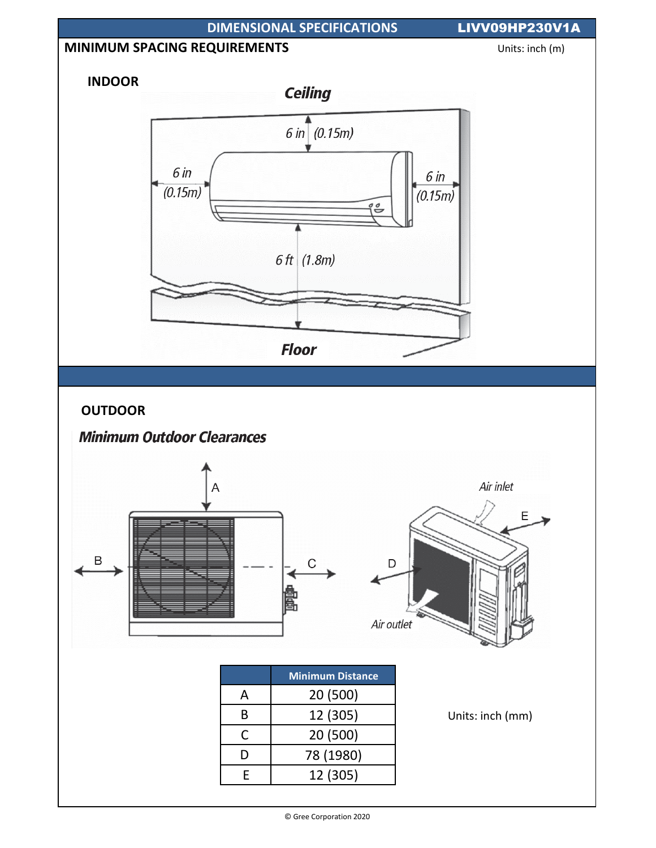

<sup>©</sup> Gree Corporation 2020